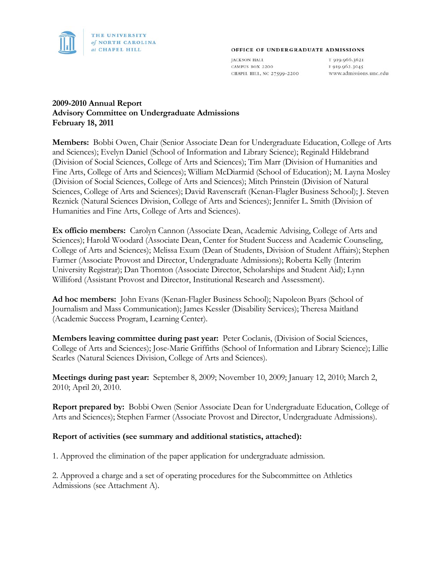

#### OFFICE OF UNDERGRADUATE ADMISSIONS

**JACKSON HALL** CAMPUS BOX 2200 CHAPEL HILL, NC 27599-2200

T 919.966.3621 F 919.962.3045 www.admissions.unc.edu

### **2009-2010 Annual Report Advisory Committee on Undergraduate Admissions February 18, 2011**

**Members:** Bobbi Owen, Chair (Senior Associate Dean for Undergraduate Education, College of Arts and Sciences); Evelyn Daniel (School of Information and Library Science); Reginald Hildebrand (Division of Social Sciences, College of Arts and Sciences); Tim Marr (Division of Humanities and Fine Arts, College of Arts and Sciences); William McDiarmid (School of Education); M. Layna Mosley (Division of Social Sciences, College of Arts and Sciences); Mitch Prinstein (Division of Natural Sciences, College of Arts and Sciences); David Ravenscraft (Kenan-Flagler Business School); J. Steven Reznick (Natural Sciences Division, College of Arts and Sciences); Jennifer L. Smith (Division of Humanities and Fine Arts, College of Arts and Sciences).

**Ex officio members:** Carolyn Cannon (Associate Dean, Academic Advising, College of Arts and Sciences); Harold Woodard (Associate Dean, Center for Student Success and Academic Counseling, College of Arts and Sciences); Melissa Exum (Dean of Students, Division of Student Affairs); Stephen Farmer (Associate Provost and Director, Undergraduate Admissions); Roberta Kelly (Interim University Registrar); Dan Thornton (Associate Director, Scholarships and Student Aid); Lynn Williford (Assistant Provost and Director, Institutional Research and Assessment).

**Ad hoc members:** John Evans (Kenan-Flagler Business School); Napoleon Byars (School of Journalism and Mass Communication); James Kessler (Disability Services); Theresa Maitland (Academic Success Program, Learning Center).

**Members leaving committee during past year:** Peter Coclanis, (Division of Social Sciences, College of Arts and Sciences); Jose-Marie Griffiths (School of Information and Library Science); Lillie Searles (Natural Sciences Division, College of Arts and Sciences).

**Meetings during past year:** September 8, 2009; November 10, 2009; January 12, 2010; March 2, 2010; April 20, 2010.

**Report prepared by:** Bobbi Owen (Senior Associate Dean for Undergraduate Education, College of Arts and Sciences); Stephen Farmer (Associate Provost and Director, Undergraduate Admissions).

#### **Report of activities (see summary and additional statistics, attached):**

1. Approved the elimination of the paper application for undergraduate admission.

2. Approved a charge and a set of operating procedures for the Subcommittee on Athletics Admissions (see Attachment A).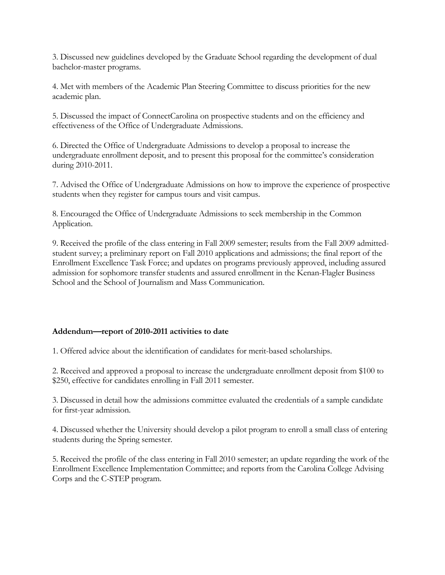3. Discussed new guidelines developed by the Graduate School regarding the development of dual bachelor-master programs.

4. Met with members of the Academic Plan Steering Committee to discuss priorities for the new academic plan.

5. Discussed the impact of ConnectCarolina on prospective students and on the efficiency and effectiveness of the Office of Undergraduate Admissions.

6. Directed the Office of Undergraduate Admissions to develop a proposal to increase the undergraduate enrollment deposit, and to present this proposal for the committee's consideration during 2010-2011.

7. Advised the Office of Undergraduate Admissions on how to improve the experience of prospective students when they register for campus tours and visit campus.

8. Encouraged the Office of Undergraduate Admissions to seek membership in the Common Application.

9. Received the profile of the class entering in Fall 2009 semester; results from the Fall 2009 admittedstudent survey; a preliminary report on Fall 2010 applications and admissions; the final report of the Enrollment Excellence Task Force; and updates on programs previously approved, including assured admission for sophomore transfer students and assured enrollment in the Kenan-Flagler Business School and the School of Journalism and Mass Communication.

### **Addendum—report of 2010-2011 activities to date**

1. Offered advice about the identification of candidates for merit-based scholarships.

2. Received and approved a proposal to increase the undergraduate enrollment deposit from \$100 to \$250, effective for candidates enrolling in Fall 2011 semester.

3. Discussed in detail how the admissions committee evaluated the credentials of a sample candidate for first-year admission.

4. Discussed whether the University should develop a pilot program to enroll a small class of entering students during the Spring semester.

5. Received the profile of the class entering in Fall 2010 semester; an update regarding the work of the Enrollment Excellence Implementation Committee; and reports from the Carolina College Advising Corps and the C-STEP program.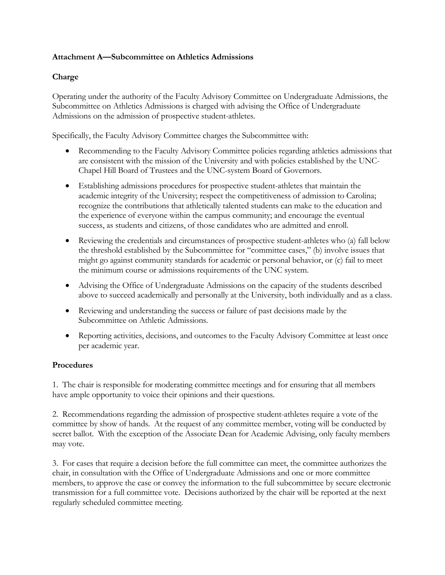### **Attachment A—Subcommittee on Athletics Admissions**

### **Charge**

Operating under the authority of the Faculty Advisory Committee on Undergraduate Admissions, the Subcommittee on Athletics Admissions is charged with advising the Office of Undergraduate Admissions on the admission of prospective student-athletes.

Specifically, the Faculty Advisory Committee charges the Subcommittee with:

- Recommending to the Faculty Advisory Committee policies regarding athletics admissions that are consistent with the mission of the University and with policies established by the UNC-Chapel Hill Board of Trustees and the UNC-system Board of Governors.
- Establishing admissions procedures for prospective student-athletes that maintain the academic integrity of the University; respect the competitiveness of admission to Carolina; recognize the contributions that athletically talented students can make to the education and the experience of everyone within the campus community; and encourage the eventual success, as students and citizens, of those candidates who are admitted and enroll.
- Reviewing the credentials and circumstances of prospective student-athletes who (a) fall below the threshold established by the Subcommittee for "committee cases," (b) involve issues that might go against community standards for academic or personal behavior, or (c) fail to meet the minimum course or admissions requirements of the UNC system.
- Advising the Office of Undergraduate Admissions on the capacity of the students described above to succeed academically and personally at the University, both individually and as a class.
- Reviewing and understanding the success or failure of past decisions made by the Subcommittee on Athletic Admissions.
- Reporting activities, decisions, and outcomes to the Faculty Advisory Committee at least once per academic year.

### **Procedures**

1. The chair is responsible for moderating committee meetings and for ensuring that all members have ample opportunity to voice their opinions and their questions.

2. Recommendations regarding the admission of prospective student-athletes require a vote of the committee by show of hands. At the request of any committee member, voting will be conducted by secret ballot. With the exception of the Associate Dean for Academic Advising, only faculty members may vote.

3. For cases that require a decision before the full committee can meet, the committee authorizes the chair, in consultation with the Office of Undergraduate Admissions and one or more committee members, to approve the case or convey the information to the full subcommittee by secure electronic transmission for a full committee vote. Decisions authorized by the chair will be reported at the next regularly scheduled committee meeting.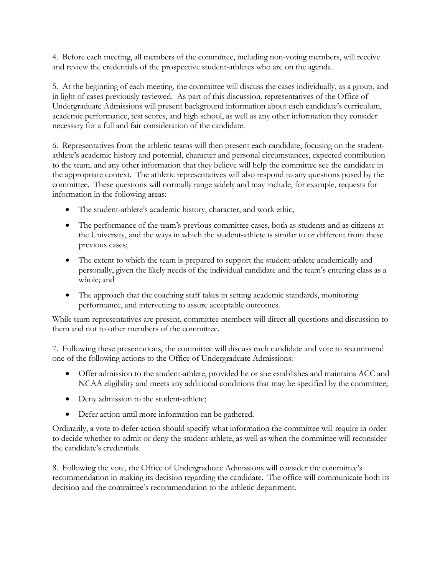4. Before each meeting, all members of the committee, including non-voting members, will receive and review the credentials of the prospective student-athletes who are on the agenda.

5. At the beginning of each meeting, the committee will discuss the cases individually, as a group, and in light of cases previously reviewed. As part of this discussion, representatives of the Office of Undergraduate Admissions will present background information about each candidate's curriculum, academic performance, test scores, and high school, as well as any other information they consider necessary for a full and fair consideration of the candidate.

6. Representatives from the athletic teams will then present each candidate, focusing on the studentathlete's academic history and potential, character and personal circumstances, expected contribution to the team, and any other information that they believe will help the committee see the candidate in the appropriate context. The athletic representatives will also respond to any questions posed by the committee. These questions will normally range widely and may include, for example, requests for information in the following areas:

- The student-athlete's academic history, character, and work ethic;
- The performance of the team's previous committee cases, both as students and as citizens at the University, and the ways in which the student-athlete is similar to or different from these previous cases;
- The extent to which the team is prepared to support the student-athlete academically and personally, given the likely needs of the individual candidate and the team's entering class as a whole; and
- The approach that the coaching staff takes in setting academic standards, monitoring performance, and intervening to assure acceptable outcomes.

While team representatives are present, committee members will direct all questions and discussion to them and not to other members of the committee.

7. Following these presentations, the committee will discuss each candidate and vote to recommend one of the following actions to the Office of Undergraduate Admissions:

- Offer admission to the student-athlete, provided he or she establishes and maintains ACC and NCAA eligibility and meets any additional conditions that may be specified by the committee;
- Deny admission to the student-athlete;
- Defer action until more information can be gathered.

Ordinarily, a vote to defer action should specify what information the committee will require in order to decide whether to admit or deny the student-athlete, as well as when the committee will reconsider the candidate's credentials.

8. Following the vote, the Office of Undergraduate Admissions will consider the committee's recommendation in making its decision regarding the candidate. The office will communicate both its decision and the committee's recommendation to the athletic department.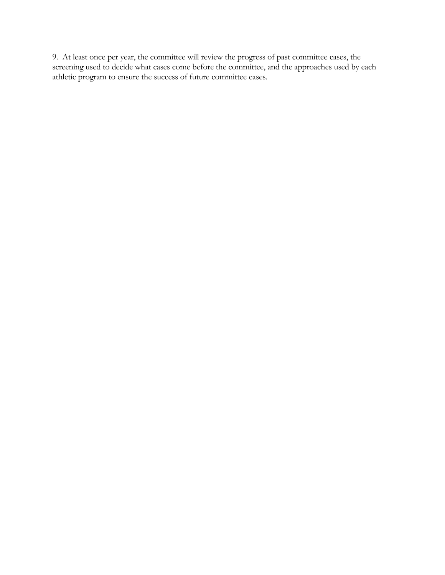9. At least once per year, the committee will review the progress of past committee cases, the screening used to decide what cases come before the committee, and the approaches used by each athletic program to ensure the success of future committee cases.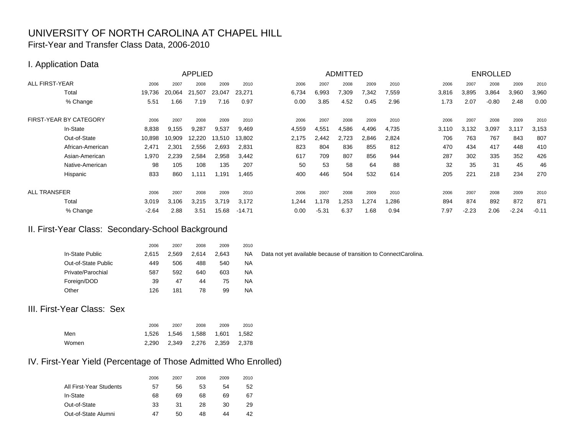### UNIVERSITY OF NORTH CAROLINA AT CHAPEL HILL First-Year and Transfer Class Data, 2006-2010

### I. Application Data

|                        |         |        | <b>APPLIED</b> |        |          |       |         | <b>ADMITTED</b> |       |       |       |         | <b>ENROLLED</b> |         |         |
|------------------------|---------|--------|----------------|--------|----------|-------|---------|-----------------|-------|-------|-------|---------|-----------------|---------|---------|
| <b>ALL FIRST-YEAR</b>  | 2006    | 2007   | 2008           | 2009   | 2010     | 2006  | 2007    | 2008            | 2009  | 2010  | 2006  | 2007    | 2008            | 2009    | 2010    |
| Total                  | 19,736  | 20.064 | 21,507         | 23,047 | 23,271   | 6,734 | 6,993   | 7,309           | 7,342 | 7,559 | 3,816 | 3,895   | 3,864           | 3,960   | 3,960   |
| % Change               | 5.51    | .66    | 7.19           | 7.16   | 0.97     | 0.00  | 3.85    | 4.52            | 0.45  | 2.96  | 1.73  | 2.07    | $-0.80$         | 2.48    | 0.00    |
| FIRST-YEAR BY CATEGORY | 2006    | 2007   | 2008           | 2009   | 2010     | 2006  | 2007    | 2008            | 2009  | 2010  | 2006  | 2007    | 2008            | 2009    | 2010    |
| In-State               | 8,838   | 9,155  | 9,287          | 9,537  | 9,469    | 4,559 | 4,551   | 4,586           | 4,496 | 4,735 | 3,110 | 3,132   | 3,097           | 3,117   | 3,153   |
| Out-of-State           | 10,898  | 10,909 | 12,220         | 13,510 | 13,802   | 2,175 | 2.442   | 2,723           | 2,846 | 2,824 | 706   | 763     | 767             | 843     | 807     |
| African-American       | 2,471   | 2,301  | 2,556          | 2,693  | 2,831    | 823   | 804     | 836             | 855   | 812   | 470   | 434     | 417             | 448     | 410     |
| Asian-American         | 1,970   | 2,239  | 2,584          | 2,958  | 3.442    | 617   | 709     | 807             | 856   | 944   | 287   | 302     | 335             | 352     | 426     |
| Native-American        | 98      | 105    | 108            | 135    | 207      | 50    | 53      | 58              | 64    | 88    | 32    | 35      | 31              | 45      | 46      |
| Hispanic               | 833     | 860    | 1,111          | 1,191  | 1,465    | 400   | 446     | 504             | 532   | 614   | 205   | 221     | 218             | 234     | 270     |
| <b>ALL TRANSFER</b>    | 2006    | 2007   | 2008           | 2009   | 2010     | 2006  | 2007    | 2008            | 2009  | 2010  | 2006  | 2007    | 2008            | 2009    | 2010    |
| Total                  | 3,019   | 3.106  | 3,215          | 3,719  | 3,172    | 1.244 | 1,178   | .253            | .274  | 1,286 | 894   | 874     | 892             | 872     | 871     |
| % Change               | $-2.64$ | 2.88   | 3.51           | 15.68  | $-14.71$ | 0.00  | $-5.31$ | 6.37            | 1.68  | 0.94  | 7.97  | $-2.23$ | 2.06            | $-2.24$ | $-0.11$ |

### II. First-Year Class: Secondary-School Background

|                     | 2006  | 2007  | 2008  | 2009  | 2010 |    |
|---------------------|-------|-------|-------|-------|------|----|
| In-State Public     | 2.615 | 2.569 | 2.614 | 2.643 | NA   | Da |
| Out-of-State Public | 449   | 506   | 488   | 540   | NA.  |    |
| Private/Parochial   | 587   | 592   | 640   | 603   | NA.  |    |
| Foreign/DOD         | 39    | 47    | 44    | 75    | ΝA   |    |
| Other               | 126   | 181   | 78    | 99    | NA.  |    |

ata not yet available because of transition to ConnectCarolina.

### III. First-Year Class: Sex

|       | 2006 | 2007                              | 2008 | 2009 | 2010 |
|-------|------|-----------------------------------|------|------|------|
| Men   |      | 1.526  1.546  1.588  1.601  1.582 |      |      |      |
| Women |      | 2,290 2,349 2,276 2,359 2,378     |      |      |      |

### IV. First-Year Yield (Percentage of Those Admitted Who Enrolled)

|                         | 2006 | 2007 | 2008 | 2009 | 2010 |
|-------------------------|------|------|------|------|------|
| All First-Year Students | 57   | 56   | 53   | 54   | 52   |
| In-State                | 68   | 69   | 68   | 69   | 67   |
| Out-of-State            | 33   | 31   | 28   | 30   | 29   |
| Out-of-State Alumni     | 47   | 50   | 48   | 44   | 42   |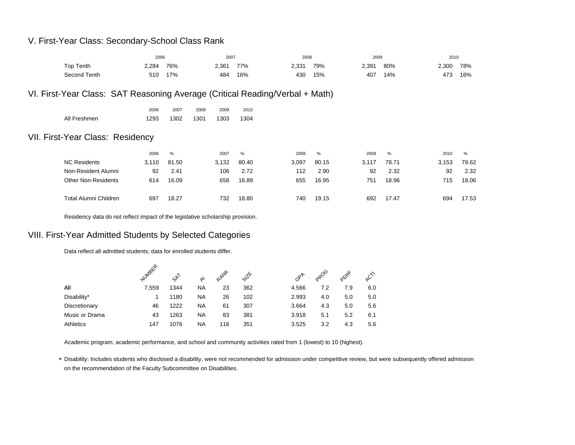### V. First-Year Class: Secondary-School Class Rank

|                                                                              | 2006  |       |      | 2007  |       | 2008  |       | 2009  |       | 2010  |       |
|------------------------------------------------------------------------------|-------|-------|------|-------|-------|-------|-------|-------|-------|-------|-------|
| Top Tenth                                                                    | 2,284 | 76%   |      | 2,361 | 77%   | 2,331 | 79%   | 2,391 | 80%   | 2,300 | 78%   |
| Second Tenth                                                                 | 510   | 17%   |      | 484   | 16%   | 430   | 15%   | 407   | 14%   | 473   | 16%   |
| VI. First-Year Class: SAT Reasoning Average (Critical Reading/Verbal + Math) |       |       |      |       |       |       |       |       |       |       |       |
|                                                                              | 2006  | 2007  | 2008 | 2009  | 2010  |       |       |       |       |       |       |
| All Freshmen                                                                 | 1293  | 1302  | 1301 | 1303  | 1304  |       |       |       |       |       |       |
| VII. First-Year Class: Residency                                             |       |       |      |       |       |       |       |       |       |       |       |
|                                                                              | 2006  | %     |      | 2007  | %     | 2008  | %     | 2009  | %     | 2010  | %     |
| <b>NC Residents</b>                                                          | 3,110 | 81.50 |      | 3,132 | 80.40 | 3,097 | 80.15 | 3,117 | 78.71 | 3,153 | 79.62 |
| Non-Resident Alumni                                                          | 92    | 2.41  |      | 106   | 2.72  | 112   | 2.90  | 92    | 2.32  | 92    | 2.32  |
| <b>Other Non-Residents</b>                                                   | 614   | 16.09 |      | 658   | 16.89 | 655   | 16.95 | 751   | 18.96 | 715   | 18.06 |
| <b>Total Alumni Children</b>                                                 | 697   | 18.27 |      | 732   | 18.80 | 740   | 19.15 | 692   | 17.47 | 694   | 17.53 |

Residency data do not reflect impact of the legislative scholarship provision.

### VIII. First-Year Admitted Students by Selected Categories

Data reflect all admitted students; data for enrolled students differ.

|                | NUMBER | st   | く         | RANK | $s^{\text{1k}}$ | $G^{\mathcal{R}^{\mathcal{R}}}$ | opoo | okRE |     |
|----------------|--------|------|-----------|------|-----------------|---------------------------------|------|------|-----|
| All            | 7,559  | 1344 | <b>NA</b> | 23   | 362             | 4.566                           | 7.2  | 7.9  | 6.0 |
| Disability*    |        | 1180 | <b>NA</b> | 26   | 102             | 2.993                           | 4.0  | 5.0  | 5.0 |
| Discretionary  | 46     | 1222 | <b>NA</b> | 61   | 307             | 3.664                           | 4.3  | 5.0  | 5.6 |
| Music or Drama | 43     | 1263 | <b>NA</b> | 83   | 381             | 3.918                           | 5.1  | 5.2  | 6.1 |
| Athletics      | 147    | 1076 | <b>NA</b> | 116  | 351             | 3.525                           | 3.2  | 4.3  | 5.6 |

Academic program, academic performance, and school and community activities rated from 1 (lowest) to 10 (highest).

\*Disability: Includes students who disclosed a disability, were not recommended for admission under competitive review, but were subsequently offered admission on the recommendation of the Faculty Subcommittee on Disabilities.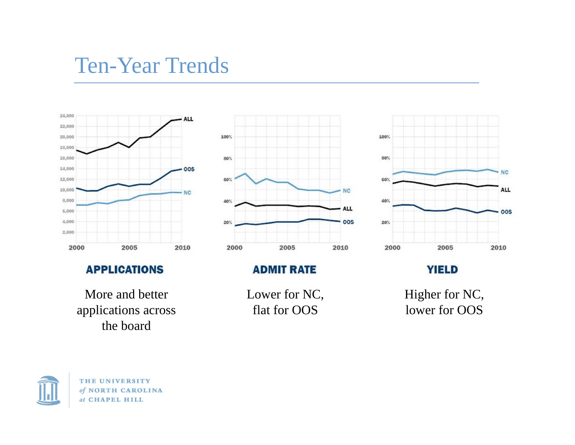## Ten-Year Trends



### **APPLICATIONS**

More and better applications across the board



### **ADMIT RATE**

Lower for NC, flat for OOS



**YIELD** 

Higher for NC, lower for OOS

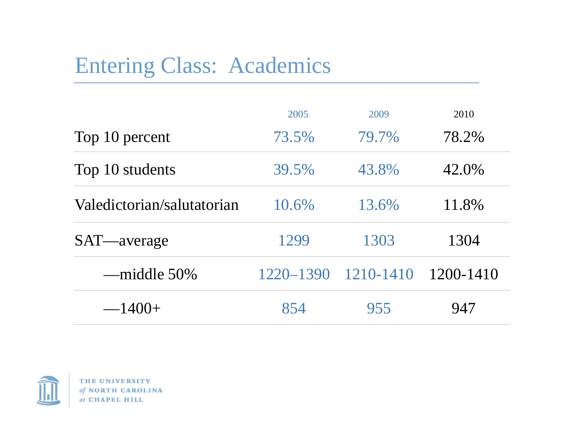# Entering Class: Academics

|                            | 2005      | 2009          | 2010      |
|----------------------------|-----------|---------------|-----------|
| Top 10 percent             | 73.5%     | 79.7%         | 78.2%     |
| Top 10 students            | 39.5%     | 43.8%         | 42.0%     |
| Valedictorian/salutatorian | 10.6%     | 13.6%         | 11.8%     |
| SAT—average                | 1299      | 1303          | 1304      |
| —middle 50%                | 1220–1390 | $1210 - 1410$ | 1200-1410 |
| $-1400+$                   | 854       | 955           | 947       |

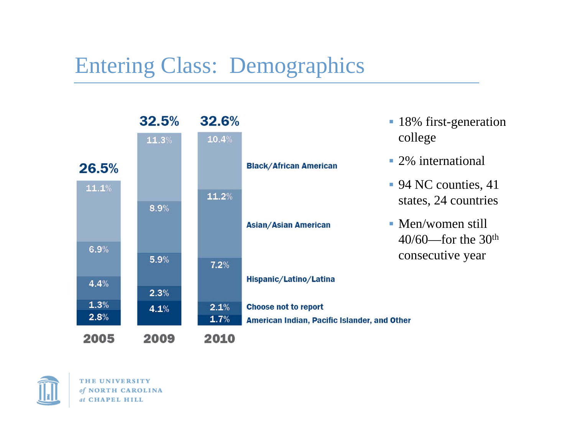## Entering Class: Demographics



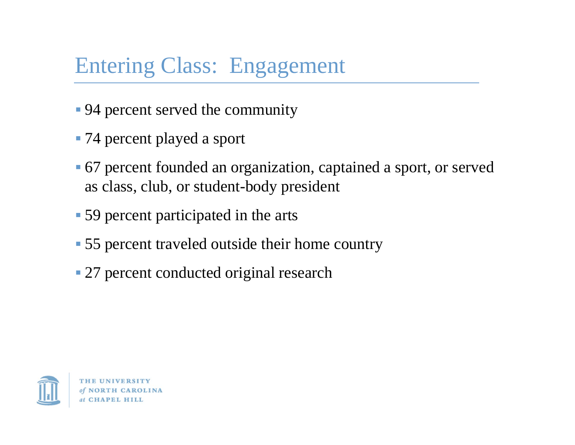# Entering Class: Engagement

- 94 percent served the community
- 74 percent played a sport
- 67 percent founded an organization, captained a sport, or served as class, club, or student-body president
- 59 percent participated in the arts
- 55 percent traveled outside their home country
- **27 percent conducted original research**



**NORTH CAROLINA** at CHAPEL HILL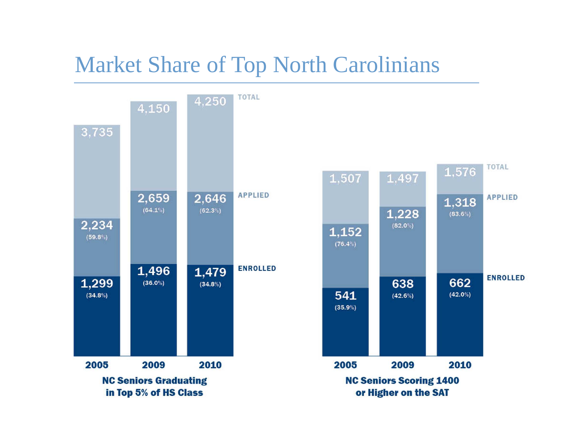## Market Share of Top North Carolinians

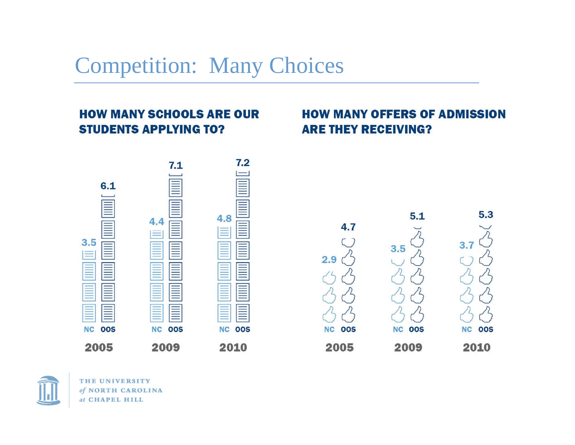## Competition: Many Choices

### **HOW MANY SCHOOLS ARE OUR STUDENTS APPLYING TO?**

## **HOW MANY OFFERS OF ADMISSION ARE THEY RECEIVING?**



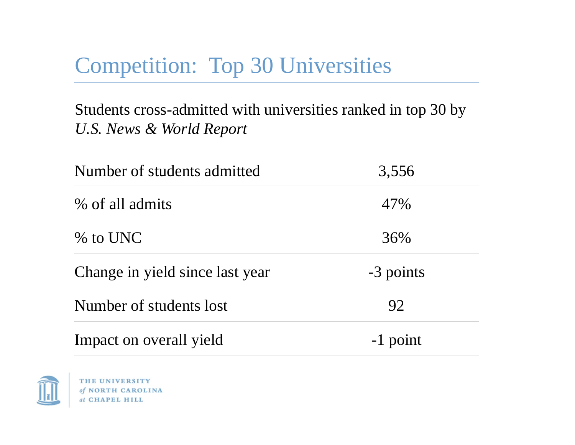# Competition: Top 30 Universities

## Students cross-admitted with universities ranked in top 30 by *U.S. News & World Report*

| Number of students admitted     | 3,556     |
|---------------------------------|-----------|
| % of all admits                 | 47%       |
| $\%$ to UNC                     | 36%       |
| Change in yield since last year | -3 points |
| Number of students lost         | 92        |
| Impact on overall yield         | -1 point  |